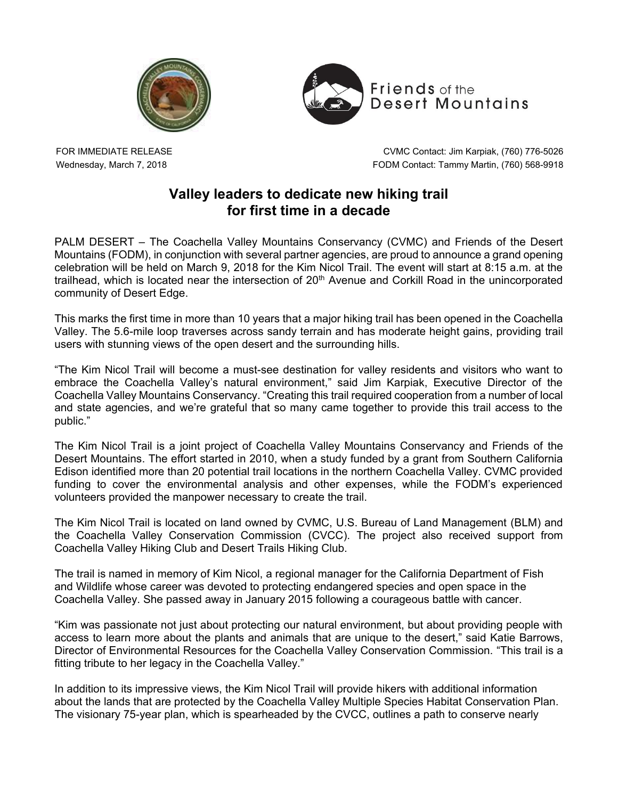



FOR IMMEDIATE RELEASE Wednesday, March 7, 2018

CVMC Contact: Jim Karpiak, (760) 776-5026 FODM Contact: Tammy Martin, (760) 568-9918

## **Valley leaders to dedicate new hiking trail for first time in a decade**

PALM DESERT – The Coachella Valley Mountains Conservancy (CVMC) and Friends of the Desert Mountains (FODM), in conjunction with several partner agencies, are proud to announce a grand opening celebration will be held on March 9, 2018 for the Kim Nicol Trail. The event will start at 8:15 a.m. at the trailhead, which is located near the intersection of 20<sup>th</sup> Avenue and Corkill Road in the unincorporated community of Desert Edge.

This marks the first time in more than 10 years that a major hiking trail has been opened in the Coachella Valley. The 5.6-mile loop traverses across sandy terrain and has moderate height gains, providing trail users with stunning views of the open desert and the surrounding hills.

"The Kim Nicol Trail will become a must-see destination for valley residents and visitors who want to embrace the Coachella Valley's natural environment," said Jim Karpiak, Executive Director of the Coachella Valley Mountains Conservancy. "Creating this trail required cooperation from a number of local and state agencies, and we're grateful that so many came together to provide this trail access to the public."

The Kim Nicol Trail is a joint project of Coachella Valley Mountains Conservancy and Friends of the Desert Mountains. The effort started in 2010, when a study funded by a grant from Southern California Edison identified more than 20 potential trail locations in the northern Coachella Valley. CVMC provided funding to cover the environmental analysis and other expenses, while the FODM's experienced volunteers provided the manpower necessary to create the trail.

The Kim Nicol Trail is located on land owned by CVMC, U.S. Bureau of Land Management (BLM) and the Coachella Valley Conservation Commission (CVCC). The project also received support from Coachella Valley Hiking Club and Desert Trails Hiking Club.

The trail is named in memory of Kim Nicol, a regional manager for the California Department of Fish and Wildlife whose career was devoted to protecting endangered species and open space in the Coachella Valley. She passed away in January 2015 following a courageous battle with cancer.

"Kim was passionate not just about protecting our natural environment, but about providing people with access to learn more about the plants and animals that are unique to the desert," said Katie Barrows, Director of Environmental Resources for the Coachella Valley Conservation Commission. "This trail is a fitting tribute to her legacy in the Coachella Valley."

In addition to its impressive views, the Kim Nicol Trail will provide hikers with additional information about the lands that are protected by the Coachella Valley Multiple Species Habitat Conservation Plan. The visionary 75-year plan, which is spearheaded by the CVCC, outlines a path to conserve nearly